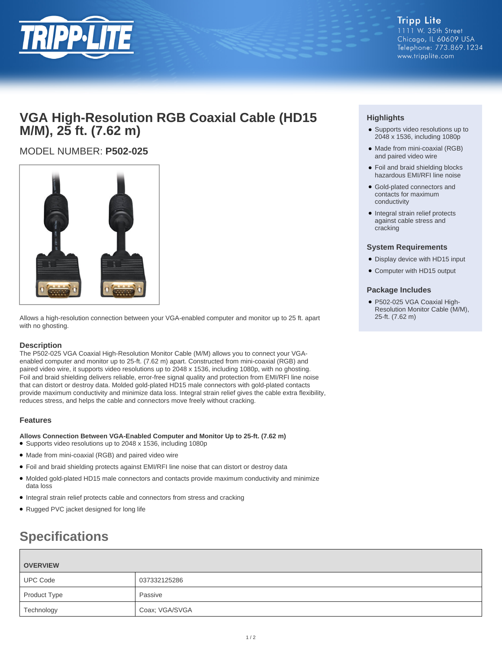

# **VGA High-Resolution RGB Coaxial Cable (HD15 M/M), 25 ft. (7.62 m)**

# MODEL NUMBER: **P502-025**



Allows a high-resolution connection between your VGA-enabled computer and monitor up to 25 ft. apart with no ghosting.

## **Description**

The P502-025 VGA Coaxial High-Resolution Monitor Cable (M/M) allows you to connect your VGAenabled computer and monitor up to 25-ft. (7.62 m) apart. Constructed from mini-coaxial (RGB) and paired video wire, it supports video resolutions up to 2048 x 1536, including 1080p, with no ghosting. Foil and braid shielding delivers reliable, error-free signal quality and protection from EMI/RFI line noise that can distort or destroy data. Molded gold-plated HD15 male connectors with gold-plated contacts provide maximum conductivity and minimize data loss. Integral strain relief gives the cable extra flexibility, reduces stress, and helps the cable and connectors move freely without cracking.

## **Features**

**Allows Connection Between VGA-Enabled Computer and Monitor Up to 25-ft. (7.62 m)**

- Supports video resolutions up to 2048 x 1536, including 1080p
- Made from mini-coaxial (RGB) and paired video wire
- Foil and braid shielding protects against EMI/RFI line noise that can distort or destroy data
- Molded gold-plated HD15 male connectors and contacts provide maximum conductivity and minimize data loss
- Integral strain relief protects cable and connectors from stress and cracking
- Rugged PVC jacket designed for long life

# **Specifications**

| <b>OVERVIEW</b> |                |
|-----------------|----------------|
| <b>UPC Code</b> | 037332125286   |
| Product Type    | Passive        |
| Technology      | Coax; VGA/SVGA |

# **Highlights**

- Supports video resolutions up to 2048 x 1536, including 1080p
- Made from mini-coaxial (RGB) and paired video wire
- Foil and braid shielding blocks hazardous EMI/RFI line noise
- Gold-plated connectors and contacts for maximum conductivity
- Integral strain relief protects against cable stress and cracking

#### **System Requirements**

- Display device with HD15 input
- Computer with HD15 output

### **Package Includes**

P502-025 VGA Coaxial High-● Resolution Monitor Cable (M/M), 25-ft. (7.62 m)